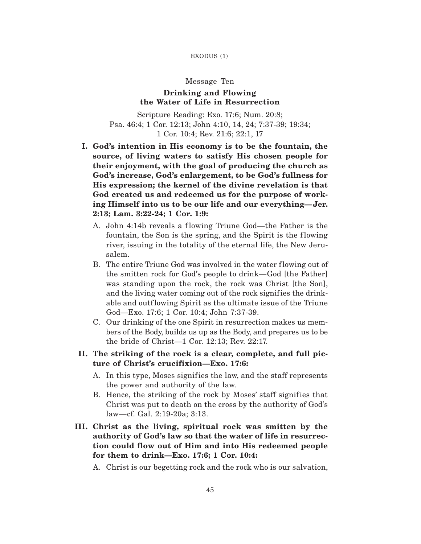#### EXODUS (1)

### Message Ten

## **Drinking and Flowing the Water of Life in Resurrection**

Scripture Reading: Exo. 17:6; Num. 20:8; Psa. 46:4; 1 Cor. 12:13; John 4:10, 14, 24; 7:37-39; 19:34; 1 Cor. 10:4; Rev. 21:6; 22:1, 17

- **I. God's intention in His economy is to be the fountain, the source, of living waters to satisfy His chosen people for their enjoyment, with the goal of producing the church as God's increase, God's enlargement, to be God's fullness for His expression; the kernel of the divine revelation is that God created us and redeemed us for the purpose of working Himself into us to be our life and our everything—Jer. 2:13; Lam. 3:22-24; 1 Cor. 1:9:**
	- A. John 4:14b reveals a flowing Triune God—the Father is the fountain, the Son is the spring, and the Spirit is the flowing river, issuing in the totality of the eternal life, the New Jerusalem.
	- B. The entire Triune God was involved in the water flowing out of the smitten rock for God's people to drink—God [the Father] was standing upon the rock, the rock was Christ [the Son], and the living water coming out of the rock signif ies the drinkable and outflowing Spirit as the ultimate issue of the Triune God—Exo. 17:6; 1 Cor. 10:4; John 7:37-39.
	- C. Our drinking of the one Spirit in resurrection makes us members of the Body, builds us up as the Body, and prepares us to be the bride of Christ—1 Cor. 12:13; Rev. 22:17.
- **II. The striking of the rock is a clear, complete, and full picture of Christ's crucifixion—Exo. 17:6:**
	- A. In this type, Moses signifies the law, and the staff represents the power and authority of the law.
	- B. Hence, the striking of the rock by Moses' staff signif ies that Christ was put to death on the cross by the authority of God's law—cf. Gal. 2:19-20a; 3:13.
- **III. Christ as the living, spiritual rock was smitten by the authority of God's law so that the water of life in resurrection could flow out of Him and into His redeemed people for them to drink—Exo. 17:6; 1 Cor. 10:4:**
	- A. Christ is our begetting rock and the rock who is our salvation,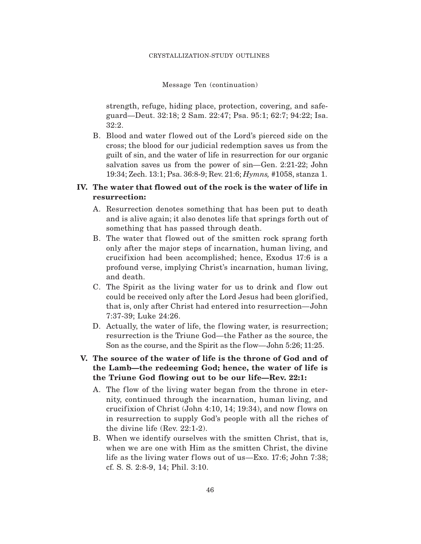Message Ten (continuation)

strength, refuge, hiding place, protection, covering, and safeguard—Deut. 32:18; 2 Sam. 22:47; Psa. 95:1; 62:7; 94:22; Isa. 32:2.

B. Blood and water flowed out of the Lord's pierced side on the cross; the blood for our judicial redemption saves us from the guilt of sin, and the water of life in resurrection for our organic salvation saves us from the power of sin—Gen. 2:21-22; John 19:34; Zech. 13:1; Psa. 36:8-9; Rev. 21:6; *Hymns,* #1058, stanza 1.

## **IV. The water that flowed out of the rock is the water of life in resurrection:**

- A. Resurrection denotes something that has been put to death and is alive again; it also denotes life that springs forth out of something that has passed through death.
- B. The water that flowed out of the smitten rock sprang forth only after the major steps of incarnation, human living, and crucif ixion had been accomplished; hence, Exodus 17:6 is a profound verse, implying Christ's incarnation, human living, and death.
- C. The Spirit as the living water for us to drink and flow out could be received only after the Lord Jesus had been glorified, that is, only after Christ had entered into resurrection—John 7:37-39; Luke 24:26.
- D. Actually, the water of life, the flowing water, is resurrection; resurrection is the Triune God—the Father as the source, the Son as the course, and the Spirit as the flow—John 5:26; 11:25.

# **V. The source of the water of life is the throne of God and of the Lamb—the redeeming God; hence, the water of life is the Triune God flowing out to be our life—Rev. 22:1:**

- A. The flow of the living water began from the throne in eternity, continued through the incarnation, human living, and crucifixion of Christ  $(John 4:10, 14; 19:34)$ , and now flows on in resurrection to supply God's people with all the riches of the divine life (Rev. 22:1-2).
- B. When we identify ourselves with the smitten Christ, that is, when we are one with Him as the smitten Christ, the divine life as the living water flows out of us—Exo.  $17:6$ ; John  $7:38$ ; cf. S. S. 2:8-9, 14; Phil. 3:10.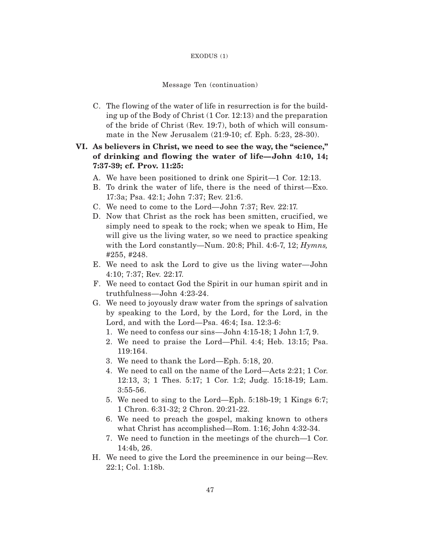#### EXODUS (1)

#### Message Ten (continuation)

C. The flowing of the water of life in resurrection is for the building up of the Body of Christ (1 Cor. 12:13) and the preparation of the bride of Christ (Rev. 19:7), both of which will consummate in the New Jerusalem (21:9-10; cf. Eph. 5:23, 28-30).

# **VI. As believers in Christ, we need to see the way, the "science," of drinking and flowing the water of life—John 4:10, 14; 7:37-39; cf. Prov. 11:25:**

- A. We have been positioned to drink one Spirit—1 Cor. 12:13.
- B. To drink the water of life, there is the need of thirst—Exo. 17:3a; Psa. 42:1; John 7:37; Rev. 21:6.
- C. We need to come to the Lord—John 7:37; Rev. 22:17.
- D. Now that Christ as the rock has been smitten, crucified, we simply need to speak to the rock; when we speak to Him, He will give us the living water, so we need to practice speaking with the Lord constantly—Num. 20:8; Phil. 4:6-7, 12; *Hymns,* #255, #248.
- E. We need to ask the Lord to give us the living water—John 4:10; 7:37; Rev. 22:17.
- F. We need to contact God the Spirit in our human spirit and in truthfulness—John 4:23-24.
- G. We need to joyously draw water from the springs of salvation by speaking to the Lord, by the Lord, for the Lord, in the Lord, and with the Lord—Psa. 46:4; Isa. 12:3-6:
	- 1. We need to confess our sins—John 4:15-18; 1 John 1:7, 9.
	- 2. We need to praise the Lord—Phil. 4:4; Heb. 13:15; Psa. 119:164.
	- 3. We need to thank the Lord—Eph. 5:18, 20.
	- 4. We need to call on the name of the Lord—Acts 2:21; 1 Cor. 12:13, 3; 1 Thes. 5:17; 1 Cor. 1:2; Judg. 15:18-19; Lam. 3:55-56.
	- 5. We need to sing to the Lord—Eph. 5:18b-19; 1 Kings 6:7; 1 Chron. 6:31-32; 2 Chron. 20:21-22.
	- 6. We need to preach the gospel, making known to others what Christ has accomplished—Rom. 1:16; John 4:32-34.
	- 7. We need to function in the meetings of the church—1 Cor. 14:4b, 26.
- H. We need to give the Lord the preeminence in our being—Rev. 22:1; Col. 1:18b.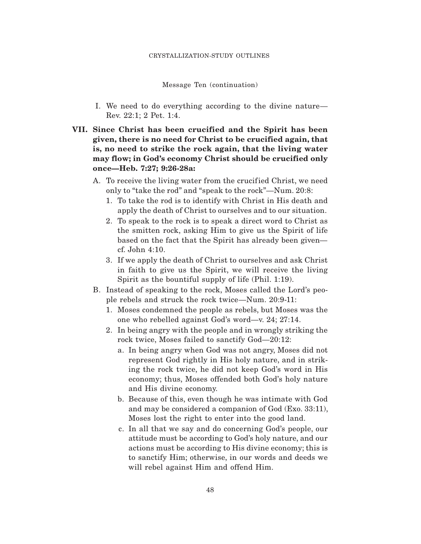Message Ten (continuation)

- I. We need to do everything according to the divine nature— Rev. 22:1; 2 Pet. 1:4.
- **VII. Since Christ has been crucified and the Spirit has been given, there is no need for Christ to be crucified again, that is, no need to strike the rock again, that the living water may flow; in God's economy Christ should be crucified only once—Heb. 7:27; 9:26-28a:**
	- A. To receive the living water from the crucified Christ, we need only to "take the rod" and "speak to the rock"—Num. 20:8:
		- 1. To take the rod is to identify with Christ in His death and apply the death of Christ to ourselves and to our situation.
		- 2. To speak to the rock is to speak a direct word to Christ as the smitten rock, asking Him to give us the Spirit of life based on the fact that the Spirit has already been given cf. John 4:10.
		- 3. If we apply the death of Christ to ourselves and ask Christ in faith to give us the Spirit, we will receive the living Spirit as the bountiful supply of life (Phil. 1:19).
	- B. Instead of speaking to the rock, Moses called the Lord's people rebels and struck the rock twice—Num. 20:9-11:
		- 1. Moses condemned the people as rebels, but Moses was the one who rebelled against God's word—v. 24; 27:14.
		- 2. In being angry with the people and in wrongly striking the rock twice, Moses failed to sanctify God—20:12:
			- a. In being angry when God was not angry, Moses did not represent God rightly in His holy nature, and in striking the rock twice, he did not keep God's word in His economy; thus, Moses offended both God's holy nature and His divine economy.
			- b. Because of this, even though he was intimate with God and may be considered a companion of God (Exo. 33:11), Moses lost the right to enter into the good land.
			- c. In all that we say and do concerning God's people, our attitude must be according to God's holy nature, and our actions must be according to His divine economy; this is to sanctify Him; otherwise, in our words and deeds we will rebel against Him and offend Him.